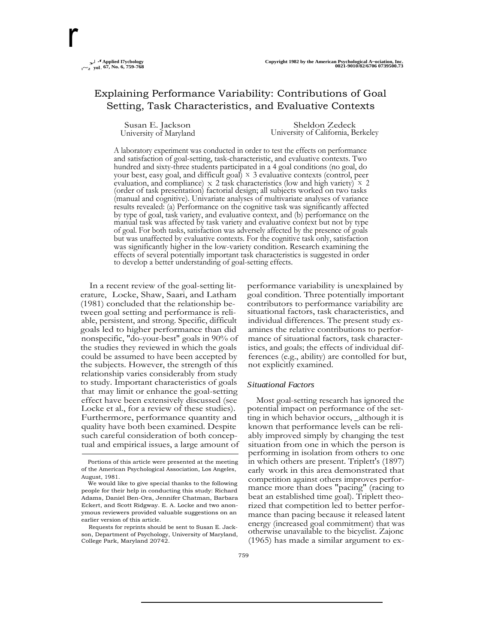r

# Explaining Performance Variability: Contributions of Goal Setting, Task Characteristics, and Evaluative Contexts

Susan E. Jackson<br>University of Maryland

Sheldon Zedeck University of California, Berkeley

A laboratory experiment was conducted in order to test the effects on performance and satisfaction of goal-setting, task-characteristic, and evaluative contexts. Two hundred and sixty-three students participated in a 4 goal conditions (no goal, do your best, easy goal, and difficult goal) <sup>X</sup> 3 evaluative contexts (control, peer evaluation, and compliance)  $x$  2 task characteristics (low and high variety)  $x$  2 (order of task presentation) factorial design; all subjects worked on two tasks (manual and cognitive). Univariate analyses of multivariate analyses of variance results revealed: (a) Performance on the cognitive task was significantly affected by type of goal, task variety, and evaluative context, and (b) performance on the manual task was affected by task variety and evaluative context but not by type of goal. For both tasks, satisfaction was adversely affected by the presence of goals but was unaffected by evaluative contexts. For the cognitive task only, satisfaction was significantly higher in the low-variety condition. Research examining the effects of several potentially important task characteristics is suggested in order to develop a better understanding of goal-setting effects.

In a recent review of the goal-setting literature, Locke, Shaw, Saari, and Latham (1981) concluded that the relationship between goal setting and performance is reliable, persistent, and strong. Specific, difficult goals led to higher performance than did nonspecific, "do-your-best" goals in 90% of the studies they reviewed in which the goals could be assumed to have been accepted by the subjects. However, the strength of this relationship varies considerably from study to study. Important characteristics of goals that may limit or enhance the goal-setting effect have been extensively discussed (see Locke et al., for a review of these studies). Furthermore, performance quantity and quality have both been examined. Despite such careful consideration of both conceptual and empirical issues, a large amount of performance variability is unexplained by goal condition. Three potentially important contributors to performance variability are situational factors, task characteristics, and individual differences. The present study examines the relative contributions to performance of situational factors, task characteristics, and goals; the effects of individual differences (e.g., ability) are contolled for but, not explicitly examined.

# *Situational Factors*

Most goal-setting research has ignored the potential impact on performance of the setting in which behavior occurs, \_although it is known that performance levels can be reliably improved simply by changing the test situation from one in which the person is performing in isolation from others to one in which others are present. Triplett's (1897) early work in this area demonstrated that competition against others improves performance more than does "pacing" (racing to beat an established time goal). Triplett theorized that competition led to better performance than pacing because it released latent energy (increased goal commitment) that was otherwise unavailable to the bicyclist. Zajonc (1965) has made a similar argument to ex-

Portions of this article were presented at the meeting of the American Psychological Association, Los Angeles, August, 1981.

We would like to give special thanks to the following people for their help in conducting this study: Richard Adams, Daniel Ben-Ora, Jennifer Chatman, Barbara Eckert, and Scott Ridgway. E. A. Locke and two anonymous reviewers provided valuable suggestions on an earlier version of this article.

Requests for reprints should be sent to Susan E. Jackson, Department of Psychology, University of Maryland, College Park, Maryland 20742.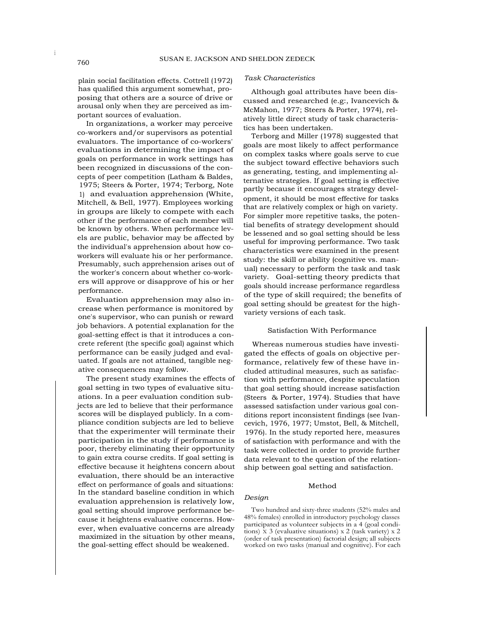plain social facilitation effects. Cottrell (1972) has qualified this argument somewhat, proposing that others are a source of drive or arousal only when they are perceived as important sources of evaluation.

In organizations, a worker may perceive co-workers and/or supervisors as potential evaluators. The importance of co-workers' evaluations in determining the impact of goals on performance in work settings has been recognized in discussions of the concepts of peer competition (Latham & Baldes, 1975; Steers & Porter, 1974; Terborg, Note 1) and evaluation apprehension (White, Mitchell, & Bell, 1977). Employees working in groups are likely to compete with each other if the performance of each member will be known by others. When performance levels are public, behavior may be affected by the individual's apprehension about how coworkers will evaluate his or her performance. Presumably, such apprehension arises out of the worker's concern about whether co-workers will approve or disapprove of his or her performance.

Evaluation apprehension may also increase when performance is monitored by one's supervisor, who can punish or reward job behaviors. A potential explanation for the goal-setting effect is that it introduces a concrete referent (the specific goal) against which performance can be easily judged and evaluated. If goals are not attained, tangible negative consequences may follow.

The present study examines the effects of goal setting in two types of evaluative situations. In a peer evaluation condition subjects are led to believe that their performance scores will be displayed publicly. In a compliance condition subjects are led to believe that the experimenter will terminate their participation in the study if performance is poor, thereby eliminating their opportunity to gain extra course credits. If goal setting is effective because it heightens concern about evaluation, there should be an interactive effect on performance of goals and situations: In the standard baseline condition in which evaluation apprehension is relatively low, goal setting should improve performance because it heightens evaluative concerns. However, when evaluative concerns are already maximized in the situation by other means, the goal-setting effect should be weakened.

## *Task Characteristics*

Although goal attributes have been discussed and researched (e.g:, Ivancevich & McMahon, 1977; Steers & Porter, 1974), relatively little direct study of task characteristics has been undertaken.

Terborg and Miller (1978) suggested that goals are most likely to affect performance on complex tasks where goals serve to cue the subject toward effective behaviors such as generating, testing, and implementing alternative strategies. If goal setting is effective partly because it encourages strategy development, it should be most effective for tasks that are relatively complex or high on variety. For simpler more repetitive tasks, the potential benefits of strategy development should be lessened and so goal setting should be less useful for improving performance. Two task characteristics were examined in the present study: the skill or ability (cognitive vs. manual) necessary to perform the task and task variety. Goal-setting theory predicts that goals should increase performance regardless of the type of skill required; the benefits of goal setting should be greatest for the highvariety versions of each task.

# Satisfaction With Performance

Whereas numerous studies have investigated the effects of goals on objective performance, relatively few of these have included attitudinal measures, such as satisfaction with performance, despite speculation that goal setting should increase satisfaction (Steers & Porter, 1974). Studies that have assessed satisfaction under various goal conditions report inconsistent findings (see Ivancevich, 1976, 1977; Umstot, Bell, & Mitchell, 1976). In the study reported here, measures of satisfaction with performance and with the task were collected in order to provide further data relevant to the question of the relationship between goal setting and satisfaction.

#### Method

#### *Design*

Two hundred and sixty-three students (52% males and 48% females) enrolled in introductory psychology classes participated as volunteer subjects in a 4 (goal conditions)  $\bar{x}$  3 (evaluative situations) x 2 (task variety) x 2 (order of task presentation) factorial design; all subjects worked on two tasks (manual and cognitive). For each

760

i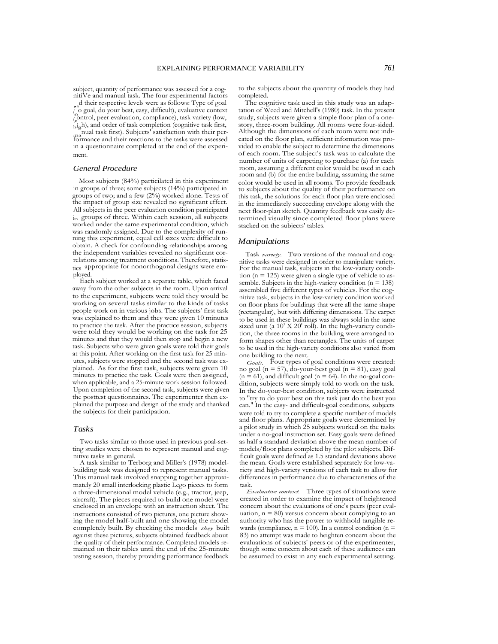subject, quantity of performance was assessed for a cognitiVe and manual task. The four experimental factors % and manual task. The four experimental factors<br>and their respective levels were as follows: Type of goal<br> $\frac{3}{4}$ (n (c ontrol, peer evaluation, compliance), task variety (low, o goal, do your best, easy, difficult), evaluative context hig h), and order of task completion (cognitive task first, manual task first). Subjects' satisfaction with their performance and their reactions to the tasks were assessed in a questionnaire completed at the end of the experiment.

## *General Procedure*

Most subjects (84%) particilated in this experiment in groups of three; some subjects (14%) participated in groups of two; and a few (2%) worked alone. Tests of the impact of group size revealed no significant effect. All subjects in the peer evaluation condition participated in groups of three. Within each session, all subjects worked under the same experimental condition, which was randomly assigned. Due to the complexity of running this experiment, equal cell sizes were difficult to obtain. A check for confounding relationships among the independent variables revealed no significant correlations among treatment conditions. Therefore, statistics appropriate for nonorthogonal designs were employed.

Each subject worked at a separate table, which faced away from the other subjects in the room. Upon arrival to the experiment, subjects were told they would be working on several tasks similar to the kinds of tasks people work on in various jobs. The subjects' first task was explained to them and they were given 10 minutes to practice the task. After the practice session, subjects were told they would be working on the task for 25 minutes and that they would then stop and begin a new task. Subjects who were given goals were told their goals at this point. After working on the first task for 25 minutes, subjects were stopped and the second task was explained. As for the first task, subjects were given 10 minutes to practice the task. Goals were then assigned, when applicable, and a 25-minute work session followed. Upon completion of the second task, subjects were given the posttest questionnaires. The experimenter then explained the purpose and design of the study and thanked the subjects for their participation.

## *Tasks*

Two tasks similar to those used in previous goal-setting studies were chosen to represent manual and cognitive tasks in general.

A task similar to Terborg and Miller's (1978) modelbuilding task was designed to represent manual tasks. This manual task involved snapping together approximately 20 small interlocking plastic Lego pieces to form a three-dimensional model vehicle (e.g., tractor, jeep, aircraft). The pieces required to build one model were enclosed in an envelope with an instruction sheet. The instructions consisted of two pictures, one picture showing the model half-built and one showing the model completely built. By checking the models *they* built against these pictures, subjects obtained feedback about the quality of their performance. Completed models remained on their tables until the end of the 25-minute testing session, thereby providing performance feedback

to the subjects about the quantity of models they had completed.

The cognitive task used in this study was an adaptation of Weed and Mitchell's (1980) task. In the present study, subjects were given a simple floor plan of a onestory, three-room building. All rooms were four-sided. Although the dimensions of each room were not indicated on the floor plan, sufficient information was provided to enable the subject to determine the dimensions of each room. The subject's task was to calculate the number of units of carpeting to purchase (a) for each room, assuming a different color would be used in each room and (b) for the entire building, assuming the same color would be used in all rooms. To provide feedback to subjects about the quality of their performance on this task, the solutions for each floor plan were enclosed in the immediately succeeding envelope along with the next floor-plan sketch. Quantity feedback was easily determined visually since completed floor plans were stacked on the subjects' tables.

#### *Manipulations*

Task *variety.* Two versions of the manual and cognitive tasks were designed in order to manipulate variety. For the manual task, subjects in the low-variety condition ( $n = 125$ ) were given a single type of vehicle to assemble. Subjects in the high-variety condition  $(n = 138)$ assembled five different types of vehicles. For the cognitive task, subjects in the low-variety condition worked on floor plans for buildings that were all the same shape (rectangular), but with differing dimensions. The carpet to be used in these buildings was always sold in the same sized unit (a 10' X 20' roll). In the high-variety condition, the three rooms in the building were arranged to form shapes other than rectangles. The units of carpet to be used in the high-variety conditions also varied from one building to the next.

*Goals.* Four types of goal conditions were created: no goal ( $n = 57$ ), do-your-best goal ( $n = 81$ ), easy goal  $(n = 61)$ , and difficult goal  $(n = 64)$ . In the no-goal condition, subjects were simply told to work on the task. In the do-your-best condition, subjects were instructed to "try to do your best on this task just do the best you can." In the easy- and difficult-goal conditions, subjects were told to try to complete a specific number of models and floor plans. Appropriate goals were determined by a pilot study in which 25 subjects worked on the tasks under a no-goal instruction set. Easy goals were defined as half a standard deviation above the mean number of models/floor plans completed by the pilot subjects. Difficult goals were defined as 1.5 standard deviations above the mean. Goals were established separately for low-variety and high-variety versions of each task to allow for differences in performance due to characteristics of the task.

*Evaluative context.* Three types of situations were created in order to examine the impact of heightened concern about the evaluations of one's peers (peer evaluation,  $n = 80$ ) versus concern about complying to an authority who has the power to withhold tangible rewards (compliance,  $n = 100$ ). In a control condition ( $n =$ 83) no attempt was made to heighten concern about the evaluations of subjects' peers or of the experimenter, though some concern about each of these audiences can be assumed to exist in any such experimental setting.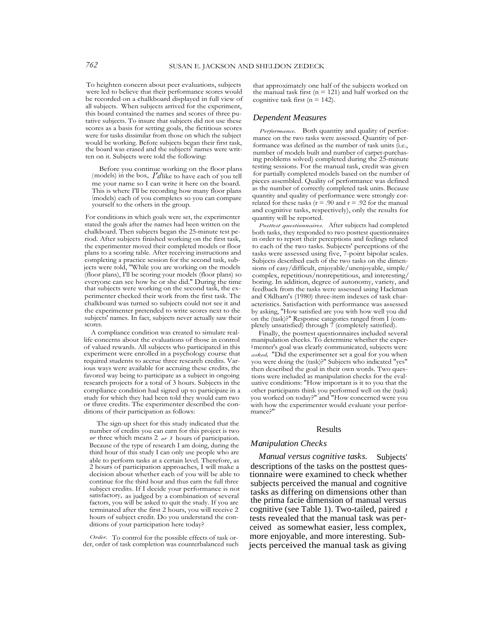To heighten concern about peer evaluations, subjects were led to believe that their performance scores would be recorded on a chalkboard displayed in full view of all subjects. When subjects arrived for the experiment, this board contained the names and scores of three putative subjects. To insure that subjects did not use these scores as a basis for setting goals, the fictitious scores were for tasks dissimilar from those on which the subject would be working. Before subjects began their first task, the board was erased and the subjects<sup>Y</sup> names were written on it. Subjects were told the following:

Before you continue working on the floor plans (models) in the box, *I'd*like to have each of you tell me your name so I can write it here on the board. This is where I'll be recording how many floor plans (models) each of you completes so you can compare yourself to the others in the group.

For conditions in which goals were set, the experimenter stated the goals after the names had been written on the chalkboard. Then subjects began the 25-minute test period. After subjects finished working on the first task, the experimenter moved their completed models or floor plans to a scoring table. After receiving instructions and completing a practice session for the second task, subjects were told, "While you are working on the models (floor plans), I'll be scoring your models (floor plans) so everyone can see how he or she did." During the time that subjects were working on the second task, the experimenter checked their work from the first task. The chalkboard was turned so subjects could not see it and the experimenter pretended to write scores next to the subjects' names. In fact, subjects never actually saw their scores.

A compliance condition was created to simulate reallife concerns about the evaluations of those in control of valued rewards. All subjects who participated in this experiment were enrolled in a psychology course that required students to accrue three research credits. Various ways were available for accruing these credits, the favored way being to participate as a subject in ongoing research projects for a total of 3 hours. Subjects in the compliance condition had signed up to participate in a study for which they had been told they would earn two or three credits. The experimenter described the conditions of their participation as follows:

The sign-up sheet for this study indicated that the number of credits you can earn for this project is two *or* three which means 2 *or 3* hours of participation. Because of the type of research I am doing, during the third hour of this study I can only use people who are able to perform tasks at a certain level. Therefore, as 2 hours of participation approaches, I will make a decision about whether each of you will be able to continue for the third hour and thus earn the full three subject credits. If I decide your performance is not satisfactory, as judged by a combination of several factors, you will be asked to quit the study. If you are terminated after the first 2 hours, you will receive 2 hours of subject credit. Do you understand the conditions of your participation here today?

*Order.* To control for the possible effects of task order, order of task completion was counterbalanced such

that approximately one half of the subjects worked on the manual task first ( $n = 121$ ) and half worked on the cognitive task first ( $n = 142$ ).

#### *Dependent Measures*

*Performance.* Both quantity and quality of performance on the two tasks were assessed. Quantity of performance was defined as the number of task units  $\hat{a}e$ . number of models built and number of carpet-purchasing problems solved) completed during the 25-minute testing sessions. For the manual task, credit was given for partially completed models based on the number of pieces assembled. Quality of performance was defined as the number of correctly completed task units. Because quantity and quality of performance were strongly correlated for these tasks ( $r = .90$  and  $r = .92$  for the manual and cognitive tasks, respectively), only the results for quantity will be reported.

*Posttest questionnaires.* After subjects had completed both tasks, they responded to two posttest questionnaires in order to report their perceptions and feelings related to each of the two tasks. Subjects' perceptions of the tasks were assessed using five, 7-point bipolar scales. Subjects described each of the two tasks on the dimensions of easy/difficult, enjoyable/unenjoyable, simple/ complex, repetitious/nonrepetitious, and interesting/ boring. In addition, degree of autonomy, variety, and feedback from the tasks were assessed using Hackman and Oldham's (1980) three-item indexes of task characteristics. Satisfaction with performance was assessed by asking, "How satisfied are you with how well you did on the (task)?" Response categories ranged from I (completely unsatisfied) through 7 (completely satisfied).

Finally, the posttest questionnaires included several manipulation checks. To determine whether the experimenter's goal was clearly communicated, subjects were *asked,* "Did the experimenter set a goal for you when you were doing the (task)?" Subjects who indicated "yes" then described the goal in their own words. Two questions were included as manipulation checks for the evaluative conditions: "How important is it to you that the other participants think you performed well on the (task) you worked on today?" and "How concerned were you with how the experimenter would evaluate your performance?"

#### Results

# *Manipulation Checks*

*Manual versus cognitive tasks.* Subjects' descriptions of the tasks on the posttest questionnaire were examined to check whether subjects perceived the manual and cognitive tasks as differing on dimensions other than the prima facie dimension of manual versus cognitive (see Table 1). Two-tailed, paired *t* tests revealed that the manual task was perceived as somewhat easier, less complex, more enjoyable, and more interesting. Subjects perceived the manual task as giving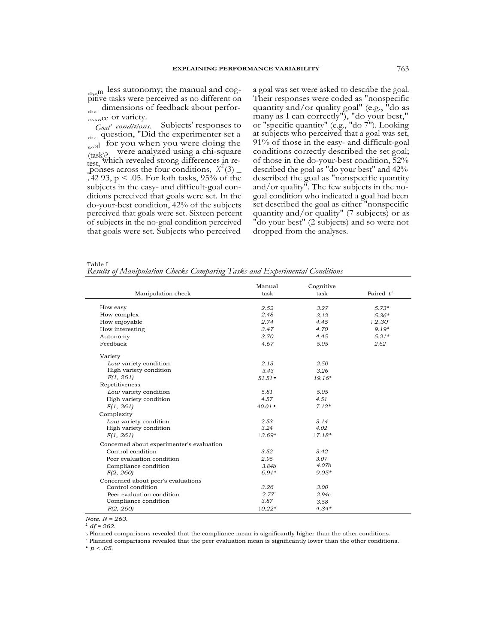<sub>the</sub>m less autonomy; the manual and cog-<br>pitive tasks were perceived as no different on the dimensions of feedback about performance or variety.

*Goat' conditions.* Subjects' responses to the question, "Did the experimenter set a goal for you when you were doing the  $(\text{task})$ ? were analyzed using a chi-square  $\frac{\text{tash}}{\text{test}}$ , which revealed strong differences in reponses across the four conditions,  $X^2(3)$  –  $142.93$ , p < .05. For loth tasks, 95% of the subjects in the easy- and difficult-goal conditions perceived that goals were set. In the do-your-best condition, 42% of the subjects perceived that goals were set. Sixteen percent of subjects in the no-goal condition perceived that goals were set. Subjects who perceived

a goal was set were asked to describe the goal. Their responses were coded as "nonspecific quantity and/or quality goal" (e.g., "do as many as I can correctly"), "do your best," or "specific quantity" (e.g., "do 7"). Looking at subjects who perceived that a goal was set, 91% of those in the easy- and difficult-goal conditions correctly described the set goal; of those in the do-your-best condition, 52% described the goal as "do your best" and 42% described the goal as "nonspecific quantity and/or quality". The few subjects in the nogoal condition who indicated a goal had been set described the goal as either "nonspecific quantity and/or quality" (7 subjects) or as "do your best" (2 subjects) and so were not dropped from the analyses.

Table I

*Results of Manipulation Checks Comparing Tasks and Experimental Conditions*

|                                           | Manual          | Cognitive |             |
|-------------------------------------------|-----------------|-----------|-------------|
| Manipulation check                        | task            | task      | Paired $t'$ |
| How easy                                  | 2.52            | 3.27      | $5.73*$     |
| How complex                               | 2.48            | 3.12      | $5.36*$     |
| How enjoyable                             | 2.74            | 4.45      | 12.30'      |
| How interesting                           | 3.47            | 4.70      | $9.19*$     |
| Autonomy                                  | 3.70            | 4.45      | $5.21*$     |
| Feedback                                  | 4.67            | 5.05      | 2.62        |
| Variety                                   |                 |           |             |
| Low variety condition                     | 2.13            | 2.50      |             |
| High variety condition                    | 3.43            | 3.26      |             |
| F(1, 261)                                 | $51.51 \bullet$ | $19.16*$  |             |
| Repetitiveness                            |                 |           |             |
| Low variety condition                     | 5.81            | 5.05      |             |
| High variety condition                    | 4.57            | 4.51      |             |
| F(1, 261)                                 | $40.01 \bullet$ | $7.12*$   |             |
| Complexity                                |                 |           |             |
| Low variety condition                     | 2.53            | 3.14      |             |
| High variety condition                    | 3.24            | 4.02      |             |
| F(1, 261)                                 | $13.69*$        | $17.18*$  |             |
| Concerned about experimenter's evaluation |                 |           |             |
| Control condition                         | 3.52            | 3.42      |             |
| Peer evaluation condition                 | 2.95            | 3.07      |             |
| Compliance condition                      | 3.84h           | 4.07b     |             |
| F(2, 260)                                 | $6.91*$         | $9.05*$   |             |
| Concerned about peer's evaluations        |                 |           |             |
| Control condition                         | 3.26            | 3.00      |             |
| Peer evaluation condition                 | 2.77            | 2.94c     |             |
| Compliance condition                      | 3.87            | 3.58      |             |
| F(2, 260)                                 | $10.22*$        | $4.34*$   |             |

*Note. N = 263.*

 $1^1 df = 262.$ 

<sup>b</sup> Planned comparisons revealed that the compliance mean is significantly higher than the other conditions.

Planned comparisons revealed that the peer evaluation mean is significantly lower than the other conditions.

*• p < .05.*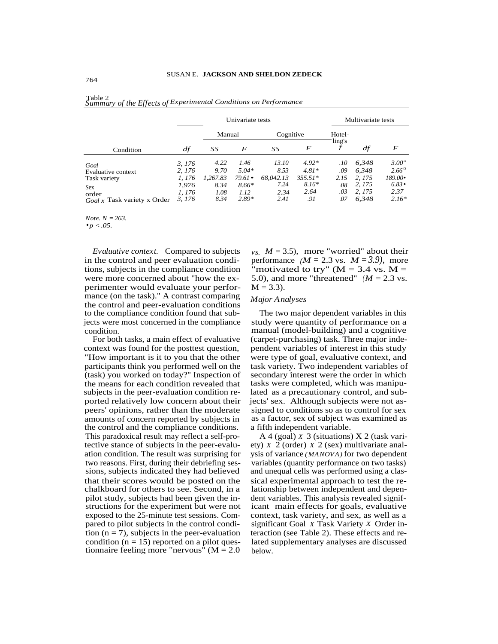|                             |        |          | Univariate tests |           | Multivariate tests |        |       |               |
|-----------------------------|--------|----------|------------------|-----------|--------------------|--------|-------|---------------|
|                             |        | Manual   |                  | Cognitive |                    | Hotel- |       |               |
| Condition                   | df     | SS       | $\bm{F}$         | SS        | $\boldsymbol{F}$   | ling's | df    | $\bm{F}$      |
| Goal                        | 3.176  | 4.22     | 1.46             | 13.10     | $4.92*$            | .10    | 6.348 | 3.00"         |
| Evaluative context          | 2, 176 | 9.70     | $5.04*$          | 8.53      | $4.81*$            | .09    | 6.348 | $2.66^{0}$    |
| Task variety                | 1.176  | 1.267.83 | $79.61 \bullet$  | 68.042.13 | $355.51*$          | 2.15   | 2.175 | 189.00•       |
| <b>Sex</b>                  | 1.976  | 8.34     | 8.66*            | 7.24      | $8.16*$            | .08    | 2.175 | $6.83\bullet$ |
| order                       | 1.176  | 1.08     | 1.12             | 2.34      | 2.64               | .03    | 2.175 | 2.37          |
| Goal x Task variety x Order | 3, 176 | 8.34     | $2.89*$          | 2.41      | .91                | .07    | 6.348 | $2.16*$       |

|  |  |  | Summary of the Effects of Experimental Conditions on Performance |  |  |  |
|--|--|--|------------------------------------------------------------------|--|--|--|
|  |  |  |                                                                  |  |  |  |

*Note. N = 263.*

 $\bullet p < .05$ .

*Evaluative context.* Compared to subjects in the control and peer evaluation conditions, subjects in the compliance condition were more concerned about "how the experimenter would evaluate your performance (on the task)." A contrast comparing the control and peer-evaluation conditions to the compliance condition found that subjects were most concerned in the compliance condition.

For both tasks, a main effect of evaluative context was found for the posttest question, "How important is it to you that the other participants think you performed well on the (task) you worked on today?" Inspection of the means for each condition revealed that subjects in the peer-evaluation condition reported relatively low concern about their peers' opinions, rather than the moderate amounts of concern reported by subjects in the control and the compliance conditions. This paradoxical result may reflect a self-protective stance of subjects in the peer-evaluation condition. The result was surprising for two reasons. First, during their debriefing sessions, subjects indicated they had believed that their scores would be posted on the chalkboard for others to see. Second, in a pilot study, subjects had been given the instructions for the experiment but were not exposed to the 25-minute test sessions. Compared to pilot subjects in the control condition  $(n = 7)$ , subjects in the peer-evaluation condition ( $n = 15$ ) reported on a pilot questionnaire feeling more "nervous" ( $M = 2.0$ 

 $v_s$ .  $M = 3.5$ ), more "worried" about their performance  $(M = 2.3 \text{ vs. } M = 3.9)$ , more "motivated to try" ( $M = 3.4$  vs.  $M =$ 5.0), and more "threatened"  $/M = 2.3$  vs.  $M = 3.3$ ).

## *Major Analyses*

The two major dependent variables in this study were quantity of performance on a manual (model-building) and a cognitive (carpet-purchasing) task. Three major independent variables of interest in this study were type of goal, evaluative context, and task variety. Two independent variables of secondary interest were the order in which tasks were completed, which was manipulated as a precautionary control, and subjects' sex. Although subjects were not assigned to conditions so as to control for sex as a factor, sex of subject was examined as a fifth independent variable.

A 4 (goal) *X* 3 (situations) X 2 (task variety) *X* 2 (order) *X* 2 (sex) multivariate analysis of variance *(MANOVA)* for two dependent variables (quantity performance on two tasks) and unequal cells was performed using a classical experimental approach to test the relationship between independent and dependent variables. This analysis revealed significant main effects for goals, evaluative context, task variety, and sex, as well as a significant Goal *X* Task Variety *X* Order interaction (see Table 2). These effects and related supplementary analyses are discussed below.

Table 2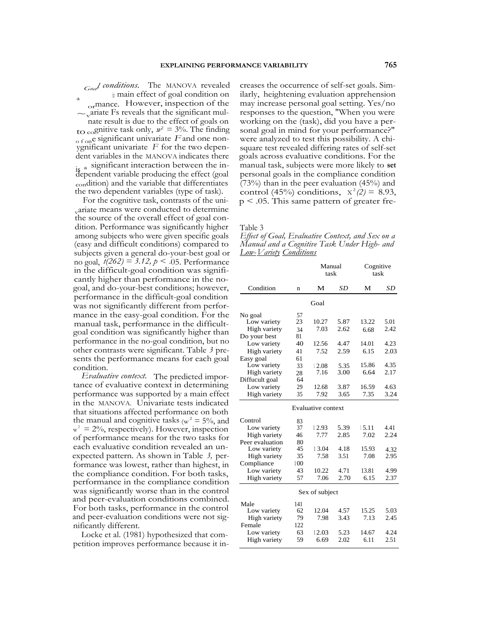*Goal conditions.* The MANOVA revealed a the main effect of goal condition on ormance. However, inspection of the  $\sim$   $\frac{1}{\sqrt{2}}$  ariate Fs reveals that the significant mul-

nate result is due to the effect of goals on to cognitive task only,  $w^2 = 3\%$ . The finding o f one significant univariate *F* and one nonygnificant univariate *F* for the two dependent variables in the MANOVA indicates there <sub>is</sub> a significant interaction between the in-<br>dependent variable producing the effect (goal a significant interaction between the incondition) and the variable that differentiates the two dependent variables (type of task).

For the cognitive task, contrasts of the uni-<sub>v</sub>ariate means were conducted to determine the source of the overall effect of goal condition. Performance was significantly higher Table 3 among subjects who were given specific goals *Effect of Goal, Evaluative Context, and Sex on a* (easy and difficult conditions) compared to *Manual and a Cognitive* subjects given a general do-your-best goal or *Low-Variety Conditions* subjects given a general do-your-best goal or no goal, *t(262) = 3.12, p <* .05. Performance in the difficult-goal condition was significantly higher than performance in the nogoal, and do-your-best conditions; however, performance in the difficult-goal condition was not significantly different from performance in the easy-goal condition. For the manual task, performance in the difficultgoal condition was significantly higher than performance in the no-goal condition, but no other contrasts were significant. Table *3* presents the performance means for each goal condition.

*Evaluative context.* The predicted importance of evaluative context in determining performance was supported by a main effect in the MANOVA. Univariate tests indicated that situations affected performance on both the manual and cognitive tasks ( $w^2 = 5\%$ , and  $w^2 = 2\%$ , respectively). However, inspection of performance means for the two tasks for each evaluative condition revealed an unexpected pattern. As shown in Table *3,* performance was lowest, rather than highest, in the compliance condition. For both tasks, performance in the compliance condition was significantly worse than in the control and peer-evaluation conditions combined. For both tasks, performance in the control and peer-evaluation conditions were not significantly different.

Locke et al. (1981) hypothesized that competition improves performance because it in-

creases the occurrence of self-set goals. Similarly, heightening evaluation apprehension may increase personal goal setting. Yes/no responses to the question, "When you were working on the (task), did you have a personal goal in mind for your performance?" were analyzed to test this possibility. A chisquare test revealed differing rates of self-set goals across evaluative conditions. For the manual task, subjects were more likely to **set** personal goals in the compliance condition (73%) than in the peer evaluation (45%) and control (45%) conditions,  $x^2(2) = 8.93$ ,  $p < .05$ . This same pattern of greater fre-

|                 |     | Manual<br>task            |           | Cognitive<br>task |           |  |
|-----------------|-----|---------------------------|-----------|-------------------|-----------|--|
| Condition       | n   | M                         | <b>SD</b> | М                 | <b>SD</b> |  |
|                 |     | Goal                      |           |                   |           |  |
| No goal         | 57  |                           |           |                   |           |  |
| Low variety     | 23  | 10.27                     | 5.87      | 13.22             | 5.01      |  |
| High variety    | 34  | 7.03                      | 2.62      | 6.68              | 2.42      |  |
| Do your best    | 81  |                           |           |                   |           |  |
| Low variety     | 40  | 12.56                     | 4.47      | 14.01             | 4.23      |  |
| High variety    | 41  | 7.52                      | 2.59      | 6.15              | 2.03      |  |
| Easy goal       | 61  |                           |           |                   |           |  |
| Low variety     | 33  | 12.08                     | 5.35      | 15.86             | 4.35      |  |
| High variety    | 28  | 7.16                      | 3.00      | 6.64              | 2.17      |  |
| Diffucult goal  | 64  |                           |           |                   |           |  |
| Low variety     | 29  | 12.68                     | 3.87      | 16.59             | 4.63      |  |
| High variety    | 35  | 7.92                      | 3.65      | 7.35              | 3.24      |  |
|                 |     | <b>Evaluative context</b> |           |                   |           |  |
| Control         | 83  |                           |           |                   |           |  |
| Low variety     | 37  | 12.93                     | 5.39      | 15.11             | 4.41      |  |
| High variety    | 46  | 7.77                      | 2.85      | 7.02              | 2.24      |  |
| Peer evaluation | 80  |                           |           |                   |           |  |
| Low variety     | 45  | 13.04                     | 4.18      | 15.93             | 4.32      |  |
| High variety    | 35  | 7.58                      | 3.51      | 7.08              | 2.95      |  |
| Compliance      | 100 |                           |           |                   |           |  |
| Low variety     | 43  | 10.22                     | 4.71      | 13.81             | 4.99      |  |
| High variety    | 57  | 7.06                      | 2.70      | 6.15              | 2.37      |  |
|                 |     | Sex of subject            |           |                   |           |  |
| Male            | 141 |                           |           |                   |           |  |
| Low variety     | 62  | 12.04                     | 4.57      | 15.25             | 5.03      |  |
| High variety    | 79  | 7.98                      | 3.43      | 7.13              | 2.45      |  |
| Female          | 122 |                           |           |                   |           |  |
| Low variety     | 63  | 12.03                     | 5.23      | 14.67             | 4.24      |  |
| High variety    | 59  | 6.69                      | 2.02      | 6.11              | 2.51      |  |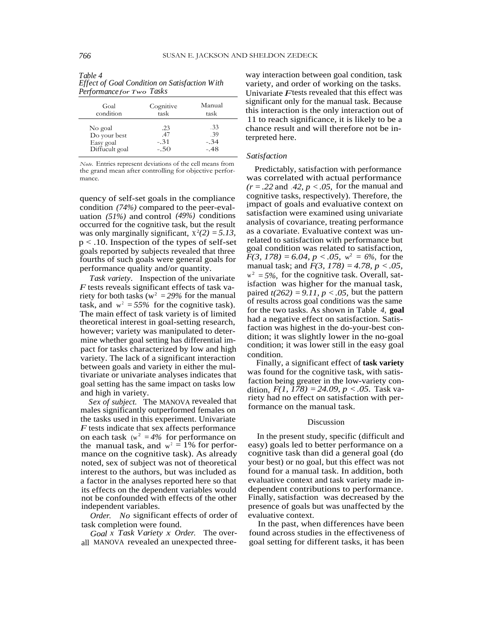| <b>Performancefor I wo Tusks</b> |                |
|----------------------------------|----------------|
| Cognitive<br>task                | Manual<br>task |
|                                  | .33            |
| .47                              | .39            |
| $-.31$                           | $-.34$         |
| $-.50$                           | $-.48$         |
|                                  | .23            |

| 1 apre 4                                      |  |
|-----------------------------------------------|--|
| Effect of Goal Condition on Satisfaction With |  |
|                                               |  |
| Performance for Two Tasks                     |  |

*Note.* Entries represent deviations of the cell means from the grand mean after controlling for objective performance.

quency of self-set goals in the compliance condition *(74%)* compared to the peer-evaluation *(51%)* and control *(49%)* conditions occurred for the cognitive task, but the result was only marginally significant,  $X^2(2) = 5.13$ ,  $p < 0.10$ . Inspection of the types of self-set goals reported by subjects revealed that three fourths of such goals were general goals for performance quality and/or quantity.

*Task variety.* Inspection of the univariate *F* tests reveals significant effects of task variety for both tasks ( $w^2 = 29\%$  for the manual task, and  $w^2 = 55\%$  for the cognitive task). The main effect of task variety is of limited theoretical interest in goal-setting research, however; variety was manipulated to determine whether goal setting has differential impact for tasks characterized by low and high variety. The lack of a significant interaction between goals and variety in either the multivariate or univariate analyses indicates that goal setting has the same impact on tasks low and high in variety.

*Sex of subject.* The MANOVA revealed that males significantly outperformed females on the tasks used in this experiment. Univariate *F* tests indicate that sex affects performance on each task  $(w^2 = 4\%$  for performance on the manual task, and  $w^2 = 1\%$  for performance on the cognitive task). As already noted, sex of subject was not of theoretical interest to the authors, but was included as a factor in the analyses reported here so that its effects on the dependent variables would not be confounded with effects of the other independent variables.

*Order. No* significant effects of order of task completion were found.

*Goal X Task Variety X Order.* The overall MANOVA revealed an unexpected threeway interaction between goal condition, task variety, and order of working on the tasks. Univariate *F*tests revealed that this effect was significant only for the manual task. Because this interaction is the only interaction out of 11 to reach significance, it is likely to be a chance result and will therefore not be interpreted here.

# *Satisfaction*

Predictably, satisfaction with performance was correlated with actual performance *(r = .22* and *. 42, p < .05,* for the manual and cognitive tasks, respectively). Therefore, the impact of goals and evaluative context on satisfaction were examined using univariate analysis of covariance, treating performance as a covariate. Evaluative context was unrelated to satisfaction with performance but goal condition was related to satisfaction,  $F(3, 178) = 6.04, p < 0.05, w^2 = 6\%$ , for the manual task; and *F(3, 178) = 4.78, p < .05,*  $w^2 = 5\%$ , for the cognitive task. Overall, satisfaction was higher for the manual task, paired  $t(262) = 9.11$ ,  $p < .05$ , but the pattern of results across goal conditions was the same for the two tasks. As shown in Table *4,* **goal** had a negative effect on satisfaction. Satisfaction was highest in the do-your-best condition; it was slightly lower in the no-goal condition; it was lower still in the easy goal condition.

Finally, a significant effect of **task variety** was found for the cognitive task, with satisfaction being greater in the low-variety condition, *F(1, 178) = 24.09, p < .05.* Task variety had no effect on satisfaction with performance on the manual task.

### Discussion

In the present study, specific (difficult and easy) goals led to better performance on a cognitive task than did a general goal (do your best) or no goal, but this effect was not found for a manual task. In addition, both evaluative context and task variety made independent contributions to performance. Finally, satisfaction was decreased by the presence of goals but was unaffected by the evaluative context.

In the past, when differences have been found across studies in the effectiveness of goal setting for different tasks, it has been

*Table 4*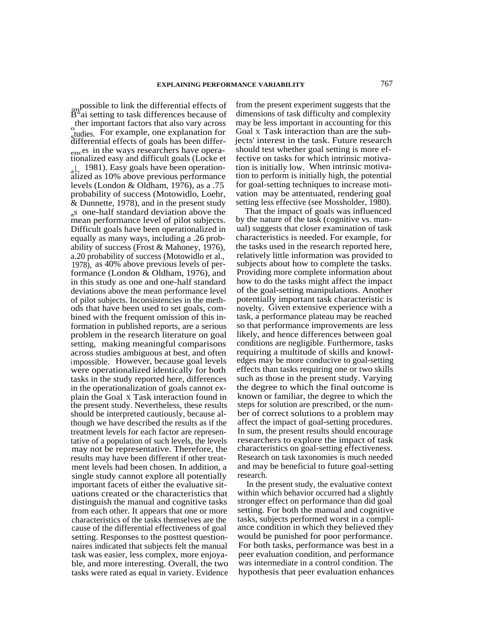impossible to fink the differences because of<br>B<sup>o</sup>ai setting to task differences because of possible to link the differential effects of ther important factors that also vary across studies. For example, one explanation for differential effects of goals has been differences in the ways researchers have operationalized easy and difficult goals (Locke et  $a_{1}^{1}$ , 1981). Easy goals have been operationalized as 10% above previous performance levels (London & Oldham, 1976), as a .75 probability of success (Motowidlo, Loehr, & Dunnette, 1978), and in the present study as one-half standard deviation above the mean performance level of pilot subjects. Difficult goals have been operationalized in equally as many ways, including a .26 probability of success (Frost & Mahoney, 1976), a.20 probability of success (Motowidlo et al., 1978), as 40% above previous levels of performance (London & Oldham, 1976), and in this study as one and one-half standard deviations above the mean performance level of pilot subjects. Inconsistencies in the methods that have been used to set goals, combined with the frequent omission of this information in published reports, are a serious problem in the research literature on goal setting, making meaningful comparisons across studies ambiguous at best, and often impossible. However, because goal levels were operationalized identically for both tasks in the study reported here, differences in the operationalization of goals cannot explain the Goal X Task interaction found in the present study. Nevertheless, these results should be interpreted cautiously, because although we have described the results as if the treatment levels for each factor are representative of a population of such levels, the levels may not be representative. Therefore, the results may have been different if other treatment levels had been chosen. In addition, a single study cannot explore all potentially important facets of either the evaluative situations created or the characteristics that distinguish the manual and cognitive tasks from each other. It appears that one or more characteristics of the tasks themselves are the cause of the differential effectiveness of goal setting. Responses to the posttest questionnaires indicated that subjects felt the manual task was easier, less complex, more enjoyable, and more interesting. Overall, the two tasks were rated as equal in variety. Evidence

from the present experiment suggests that the dimensions of task difficulty and complexity may be less important in accounting for this Goal X Task interaction than are the subjects' interest in the task. Future research should test whether goal setting is more effective on tasks for which intrinsic motivation is initially low. When intrinsic motivation to perform is initially high, the potential for goal-setting techniques to increase motivation may be attentuated, rendering goal setting less effective (see Mossholder, 1980).

That the impact of goals was influenced by the nature of the task (cognitive vs. manual) suggests that closer examination of task characteristics is needed. For example, for the tasks used in the research reported here, relatively little information was provided to subjects about how to complete the tasks. Providing more complete information about how to do the tasks might affect the impact of the goal-setting manipulations. Another potentially important task characteristic is novelty. Given extensive experience with a task, a performance plateau may be reached so that performance improvements are less likely, and hence differences between goal conditions are negligible. Furthermore, tasks requiring a multitude of skills and knowledges may be more conducive to goal-setting effects than tasks requiring one or two skills such as those in the present study. Varying the degree to which the final outcome is known or familiar, the degree to which the steps for solution are prescribed, or the number of correct solutions to a problem may affect the impact of goal-setting procedures. In sum, the present results should encourage researchers to explore the impact of task characteristics on goal-setting effectiveness. Research on task taxonomies is much needed and may be beneficial to future goal-setting research.

In the present study, the evaluative context within which behavior occurred had a slightly stronger effect on performance than did goal setting. For both the manual and cognitive tasks, subjects performed worst in a compliance condition in which they believed they would be punished for poor performance. For both tasks, performance was best in a peer evaluation condition, and performance was intermediate in a control condition. The hypothesis that peer evaluation enhances